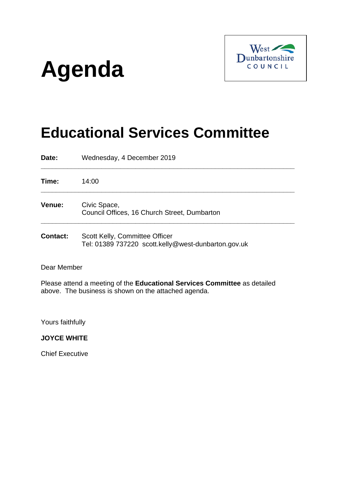# **Agenda**



# **Educational Services Committee**

| Date:           | Wednesday, 4 December 2019                                                            |
|-----------------|---------------------------------------------------------------------------------------|
| Time:           | 14:00                                                                                 |
| Venue:          | Civic Space,<br>Council Offices, 16 Church Street, Dumbarton                          |
| <b>Contact:</b> | Scott Kelly, Committee Officer<br>Tel: 01389 737220 scott.kelly@west-dunbarton.gov.uk |

Dear Member

Please attend a meeting of the **Educational Services Committee** as detailed above. The business is shown on the attached agenda.

Yours faithfully

**JOYCE WHITE**

Chief Executive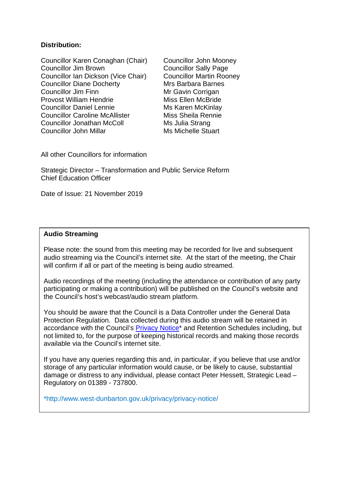#### **Distribution:**

Councillor Karen Conaghan (Chair) Councillor John Mooney Councillor Jim Brown Councillor Sally Page Councillor Ian Dickson (Vice Chair) Councillor Martin Rooney Councillor Diane Docherty Mrs Barbara Barnes Councillor Jim Finn Mr Gavin Corrigan Provost William Hendrie Miss Ellen McBride Councillor Daniel Lennie Muscle Ms Karen McKinlay Councillor Caroline McAllister Miss Sheila Rennie Councillor Jonathan McColl Ms Julia Strang Councillor John Millar Michelle Stuart

All other Councillors for information

Strategic Director – Transformation and Public Service Reform Chief Education Officer

Date of Issue: 21 November 2019

#### **Audio Streaming**

Please note: the sound from this meeting may be recorded for live and subsequent audio streaming via the Council's internet site. At the start of the meeting, the Chair will confirm if all or part of the meeting is being audio streamed.

Audio recordings of the meeting (including the attendance or contribution of any party participating or making a contribution) will be published on the Council's website and the Council's host's webcast/audio stream platform.

You should be aware that the Council is a Data Controller under the General Data Protection Regulation. Data collected during this audio stream will be retained in accordance with the Council's [Privacy Notice\\*](http://www.west-dunbarton.gov.uk/privacy/privacy-notice/) and Retention Schedules including, but not limited to, for the purpose of keeping historical records and making those records available via the Council's internet site.

If you have any queries regarding this and, in particular, if you believe that use and/or storage of any particular information would cause, or be likely to cause, substantial damage or distress to any individual, please contact Peter Hessett, Strategic Lead – Regulatory on 01389 - 737800.

\*http://www.west-dunbarton.gov.uk/privacy/privacy-notice/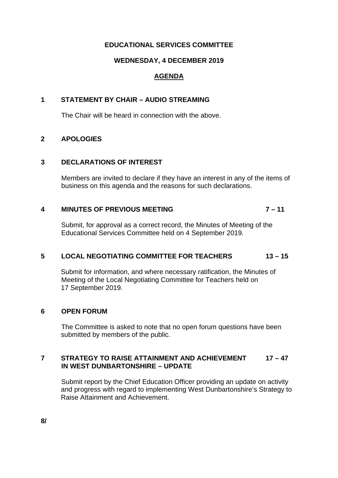#### **EDUCATIONAL SERVICES COMMITTEE**

#### **WEDNESDAY, 4 DECEMBER 2019**

## **AGENDA**

#### **1 STATEMENT BY CHAIR – AUDIO STREAMING**

The Chair will be heard in connection with the above.

#### **2 APOLOGIES**

#### **3 DECLARATIONS OF INTEREST**

Members are invited to declare if they have an interest in any of the items of business on this agenda and the reasons for such declarations.

# **4 MINUTES OF PREVIOUS MEETING 7 – 11**

Submit, for approval as a correct record, the Minutes of Meeting of the Educational Services Committee held on 4 September 2019.

## **5 LOCAL NEGOTIATING COMMITTEE FOR TEACHERS 13 – 15**

Submit for information, and where necessary ratification, the Minutes of Meeting of the Local Negotiating Committee for Teachers held on 17 September 2019.

#### **6 OPEN FORUM**

The Committee is asked to note that no open forum questions have been submitted by members of the public.

#### **7 STRATEGY TO RAISE ATTAINMENT AND ACHIEVEMENT 17 – 47 IN WEST DUNBARTONSHIRE – UPDATE**

Submit report by the Chief Education Officer providing an update on activity and progress with regard to implementing West Dunbartonshire's Strategy to Raise Attainment and Achievement.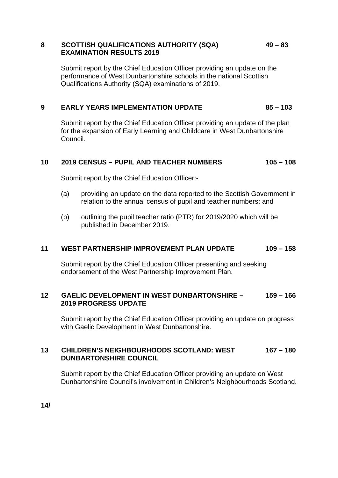#### **8 SCOTTISH QUALIFICATIONS AUTHORITY (SQA) 49 – 83 EXAMINATION RESULTS 2019**

Submit report by the Chief Education Officer providing an update on the performance of West Dunbartonshire schools in the national Scottish Qualifications Authority (SQA) examinations of 2019.

#### **9 EARLY YEARS IMPLEMENTATION UPDATE 85 – 103**

Submit report by the Chief Education Officer providing an update of the plan for the expansion of Early Learning and Childcare in West Dunbartonshire Council.

#### **10 2019 CENSUS – PUPIL AND TEACHER NUMBERS 105 – 108**

Submit report by the Chief Education Officer:-

- (a) providing an update on the data reported to the Scottish Government in relation to the annual census of pupil and teacher numbers; and
- (b) outlining the pupil teacher ratio (PTR) for 2019/2020 which will be published in December 2019.

#### **11 WEST PARTNERSHIP IMPROVEMENT PLAN UPDATE 109 – 158**

Submit report by the Chief Education Officer presenting and seeking endorsement of the West Partnership Improvement Plan.

#### **12 GAELIC DEVELOPMENT IN WEST DUNBARTONSHIRE – 159 – 166 2019 PROGRESS UPDATE**

Submit report by the Chief Education Officer providing an update on progress with Gaelic Development in West Dunbartonshire.

#### **13 CHILDREN'S NEIGHBOURHOODS SCOTLAND: WEST 167 – 180 DUNBARTONSHIRE COUNCIL**

Submit report by the Chief Education Officer providing an update on West Dunbartonshire Council's involvement in Children's Neighbourhoods Scotland.